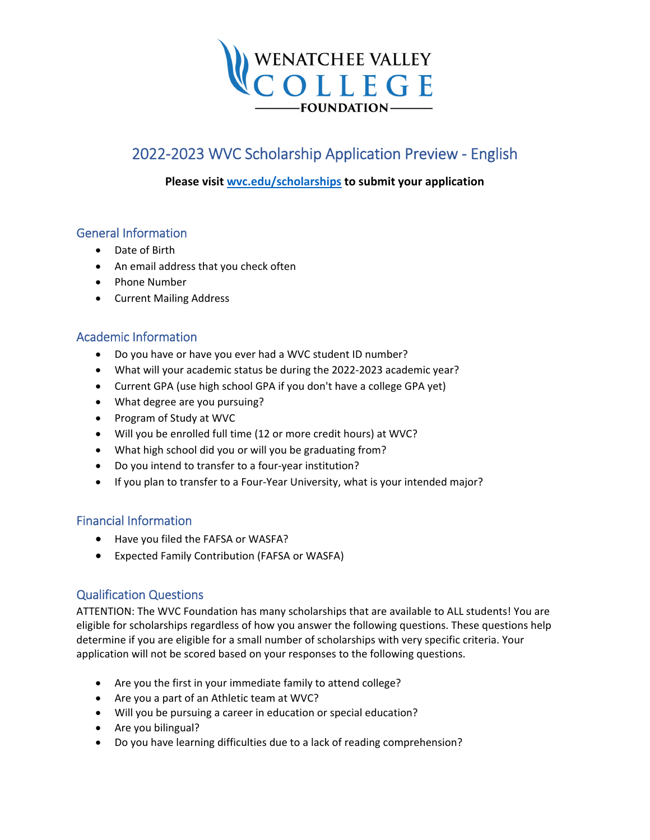

# 2022‐2023 WVC Scholarship Application Preview ‐ English

## **Please visit [wvc.edu/scholarships](https://wvc.edu/apply/pay/financial-aid/scholarships.html) to submit your application**

## General Information

- Date of Birth
- An email address that you check often
- Phone Number
- Current Mailing Address

# Academic Information

- Do you have or have you ever had a WVC student ID number?
- What will your academic status be during the 2022‐2023 academic year?
- Current GPA (use high school GPA if you don't have a college GPA yet)
- What degree are you pursuing?
- Program of Study at WVC
- Will you be enrolled full time (12 or more credit hours) at WVC?
- What high school did you or will you be graduating from?
- Do you intend to transfer to a four-year institution?
- If you plan to transfer to a Four-Year University, what is your intended major?

# Financial Information

- Have you filed the FAFSA or WASFA?
- Expected Family Contribution (FAFSA or WASFA)

## Qualification Questions

ATTENTION: The WVC Foundation has many scholarships that are available to ALL students! You are eligible for scholarships regardless of how you answer the following questions. These questions help determine if you are eligible for a small number of scholarships with very specific criteria. Your application will not be scored based on your responses to the following questions.

- Are you the first in your immediate family to attend college?
- Are you a part of an Athletic team at WVC?
- Will you be pursuing a career in education or special education?
- Are you bilingual?
- Do you have learning difficulties due to a lack of reading comprehension?